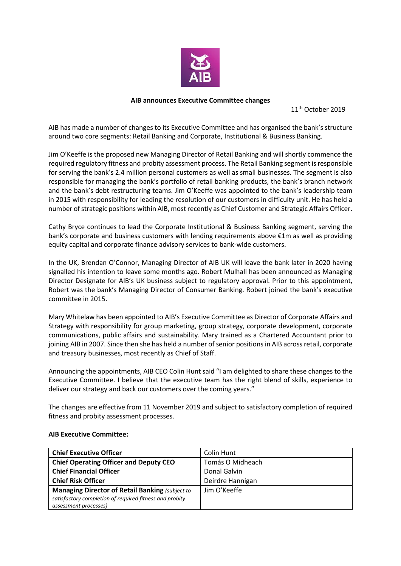

## **AIB announces Executive Committee changes**

11<sup>th</sup> October 2019

AIB has made a number of changes to its Executive Committee and has organised the bank's structure around two core segments: Retail Banking and Corporate, Institutional & Business Banking.

Jim O'Keeffe is the proposed new Managing Director of Retail Banking and will shortly commence the required regulatory fitness and probity assessment process. The Retail Banking segment is responsible for serving the bank's 2.4 million personal customers as well as small businesses. The segment is also responsible for managing the bank's portfolio of retail banking products, the bank's branch network and the bank's debt restructuring teams. Jim O'Keeffe was appointed to the bank's leadership team in 2015 with responsibility for leading the resolution of our customers in difficulty unit. He has held a number of strategic positions within AIB, most recently as Chief Customer and Strategic Affairs Officer.

Cathy Bryce continues to lead the Corporate Institutional & Business Banking segment, serving the bank's corporate and business customers with lending requirements above €1m as well as providing equity capital and corporate finance advisory services to bank-wide customers.

In the UK, Brendan O'Connor, Managing Director of AIB UK will leave the bank later in 2020 having signalled his intention to leave some months ago. Robert Mulhall has been announced as Managing Director Designate for AIB's UK business subject to regulatory approval. Prior to this appointment, Robert was the bank's Managing Director of Consumer Banking. Robert joined the bank's executive committee in 2015.

Mary Whitelaw has been appointed to AIB's Executive Committee as Director of Corporate Affairs and Strategy with responsibility for group marketing, group strategy, corporate development, corporate communications, public affairs and sustainability. Mary trained as a Chartered Accountant prior to joining AIB in 2007. Since then she has held a number of senior positions in AIB across retail, corporate and treasury businesses, most recently as Chief of Staff.

Announcing the appointments, AIB CEO Colin Hunt said "I am delighted to share these changes to the Executive Committee. I believe that the executive team has the right blend of skills, experience to deliver our strategy and back our customers over the coming years."

The changes are effective from 11 November 2019 and subject to satisfactory completion of required fitness and probity assessment processes.

| <b>Chief Executive Officer</b>                          | Colin Hunt       |
|---------------------------------------------------------|------------------|
| <b>Chief Operating Officer and Deputy CEO</b>           | Tomás O Midheach |
| <b>Chief Financial Officer</b>                          | Donal Galvin     |
| <b>Chief Risk Officer</b>                               | Deirdre Hannigan |
| <b>Managing Director of Retail Banking (subject to</b>  | Jim O'Keeffe     |
| satisfactory completion of required fitness and probity |                  |
| assessment processes)                                   |                  |

## **AIB Executive Committee:**